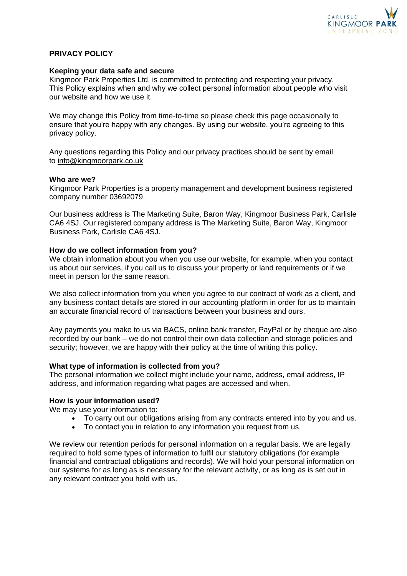

## **PRIVACY POLICY**

#### **Keeping your data safe and secure**

Kingmoor Park Properties Ltd. is committed to protecting and respecting your privacy. This Policy explains when and why we collect personal information about people who visit our website and how we use it.

We may change this Policy from time-to-time so please check this page occasionally to ensure that you're happy with any changes. By using our website, you're agreeing to this privacy policy.

Any questions regarding this Policy and our privacy practices should be sent by email to [info@kingmoorpark.co.uk](mailto:info@kingmoorpark.co.uk)

#### **Who are we?**

Kingmoor Park Properties is a property management and development business registered company number 03692079.

Our business address is The Marketing Suite, Baron Way, Kingmoor Business Park, Carlisle CA6 4SJ. Our registered company address is The Marketing Suite, Baron Way, Kingmoor Business Park, Carlisle CA6 4SJ.

#### **How do we collect information from you?**

We obtain information about you when you use our website, for example, when you contact us about our services, if you call us to discuss your property or land requirements or if we meet in person for the same reason.

We also collect information from you when you agree to our contract of work as a client, and any business contact details are stored in our accounting platform in order for us to maintain an accurate financial record of transactions between your business and ours.

Any payments you make to us via BACS, online bank transfer, PayPal or by cheque are also recorded by our bank – we do not control their own data collection and storage policies and security; however, we are happy with their policy at the time of writing this policy.

### **What type of information is collected from you?**

The personal information we collect might include your name, address, email address, IP address, and information regarding what pages are accessed and when.

#### **How is your information used?**

We may use your information to:

- To carry out our obligations arising from any contracts entered into by you and us.
- To contact you in relation to any information you request from us.

We review our retention periods for personal information on a regular basis. We are legally required to hold some types of information to fulfil our statutory obligations (for example financial and contractual obligations and records). We will hold your personal information on our systems for as long as is necessary for the relevant activity, or as long as is set out in any relevant contract you hold with us.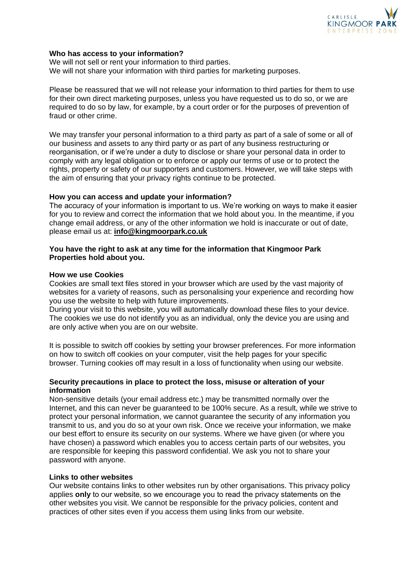

### **Who has access to your information?**

We will not sell or rent your information to third parties. We will not share your information with third parties for marketing purposes.

Please be reassured that we will not release your information to third parties for them to use for their own direct marketing purposes, unless you have requested us to do so, or we are required to do so by law, for example, by a court order or for the purposes of prevention of fraud or other crime.

We may transfer your personal information to a third party as part of a sale of some or all of our business and assets to any third party or as part of any business restructuring or reorganisation, or if we're under a duty to disclose or share your personal data in order to comply with any legal obligation or to enforce or apply our terms of use or to protect the rights, property or safety of our supporters and customers. However, we will take steps with the aim of ensuring that your privacy rights continue to be protected.

## **How you can access and update your information?**

The accuracy of your information is important to us. We're working on ways to make it easier for you to review and correct the information that we hold about you. In the meantime, if you change email address, or any of the other information we hold is inaccurate or out of date, please email us at: **[info@kingmoorpark.co.uk](mailto:info@kingmoorpark.co.uk)**

# **You have the right to ask at any time for the information that Kingmoor Park Properties hold about you.**

## **How we use Cookies**

Cookies are small text files stored in your browser which are used by the vast majority of websites for a variety of reasons, such as personalising your experience and recording how you use the website to help with future improvements.

During your visit to this website, you will automatically download these files to your device. The cookies we use do not identify you as an individual, only the device you are using and are only active when you are on our website.

It is possible to switch off cookies by setting your browser preferences. For more information on how to switch off cookies on your computer, visit the help pages for your specific browser. Turning cookies off may result in a loss of functionality when using our website.

# **Security precautions in place to protect the loss, misuse or alteration of your information**

Non-sensitive details (your email address etc.) may be transmitted normally over the Internet, and this can never be guaranteed to be 100% secure. As a result, while we strive to protect your personal information, we cannot guarantee the security of any information you transmit to us, and you do so at your own risk. Once we receive your information, we make our best effort to ensure its security on our systems. Where we have given (or where you have chosen) a password which enables you to access certain parts of our websites, you are responsible for keeping this password confidential. We ask you not to share your password with anyone.

# **Links to other websites**

Our website contains links to other websites run by other organisations. This privacy policy applies **only** to our website, so we encourage you to read the privacy statements on the other websites you visit. We cannot be responsible for the privacy policies, content and practices of other sites even if you access them using links from our website.